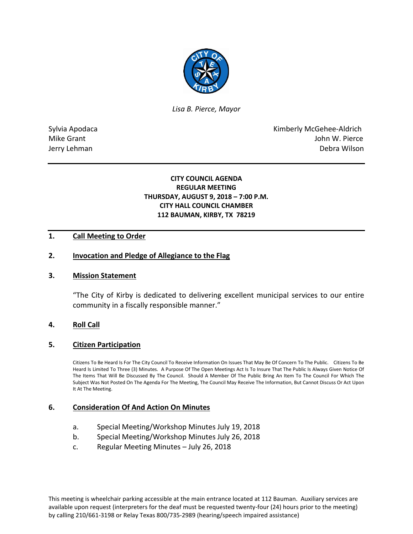

*Lisa B. Pierce, Mayor* 

Sylvia Apodaca National According Control of American Control of Kimberly McGehee-Aldrich Mike Grant **John W. Pierce** Jerry Lehman Debra Wilson

## **CITY COUNCIL AGENDA REGULAR MEETING THURSDAY, AUGUST 9, 2018 – 7:00 P.M. CITY HALL COUNCIL CHAMBER 112 BAUMAN, KIRBY, TX 78219**

## **1. Call Meeting to Order**

## **2. Invocation and Pledge of Allegiance to the Flag**

#### **3. Mission Statement**

"The City of Kirby is dedicated to delivering excellent municipal services to our entire community in a fiscally responsible manner."

#### **4. Roll Call**

#### **5. Citizen Participation**

Citizens To Be Heard Is For The City Council To Receive Information On Issues That May Be Of Concern To The Public. Citizens To Be Heard Is Limited To Three (3) Minutes. A Purpose Of The Open Meetings Act Is To Insure That The Public Is Always Given Notice Of The Items That Will Be Discussed By The Council. Should A Member Of The Public Bring An Item To The Council For Which The Subject Was Not Posted On The Agenda For The Meeting, The Council May Receive The Information, But Cannot Discuss Or Act Upon It At The Meeting.

#### **6. Consideration Of And Action On Minutes**

- a. Special Meeting/Workshop Minutes July 19, 2018
- b. Special Meeting/Workshop Minutes July 26, 2018
- c. Regular Meeting Minutes July 26, 2018

This meeting is wheelchair parking accessible at the main entrance located at 112 Bauman. Auxiliary services are available upon request (interpreters for the deaf must be requested twenty-four (24) hours prior to the meeting) by calling 210/661-3198 or Relay Texas 800/735-2989 (hearing/speech impaired assistance)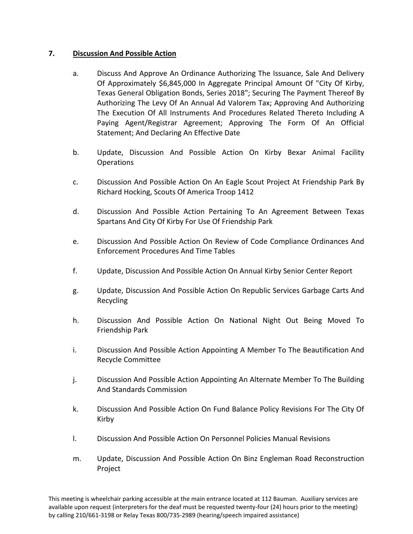## **7. Discussion And Possible Action**

- a. Discuss And Approve An Ordinance Authorizing The Issuance, Sale And Delivery Of Approximately \$6,845,000 In Aggregate Principal Amount Of "City Of Kirby, Texas General Obligation Bonds, Series 2018"; Securing The Payment Thereof By Authorizing The Levy Of An Annual Ad Valorem Tax; Approving And Authorizing The Execution Of All Instruments And Procedures Related Thereto Including A Paying Agent/Registrar Agreement; Approving The Form Of An Official Statement; And Declaring An Effective Date
- b. Update, Discussion And Possible Action On Kirby Bexar Animal Facility Operations
- c. Discussion And Possible Action On An Eagle Scout Project At Friendship Park By Richard Hocking, Scouts Of America Troop 1412
- d. Discussion And Possible Action Pertaining To An Agreement Between Texas Spartans And City Of Kirby For Use Of Friendship Park
- e. Discussion And Possible Action On Review of Code Compliance Ordinances And Enforcement Procedures And Time Tables
- f. Update, Discussion And Possible Action On Annual Kirby Senior Center Report
- g. Update, Discussion And Possible Action On Republic Services Garbage Carts And Recycling
- h. Discussion And Possible Action On National Night Out Being Moved To Friendship Park
- i. Discussion And Possible Action Appointing A Member To The Beautification And Recycle Committee
- j. Discussion And Possible Action Appointing An Alternate Member To The Building And Standards Commission
- k. Discussion And Possible Action On Fund Balance Policy Revisions For The City Of Kirby
- l. Discussion And Possible Action On Personnel Policies Manual Revisions
- m. Update, Discussion And Possible Action On Binz Engleman Road Reconstruction Project